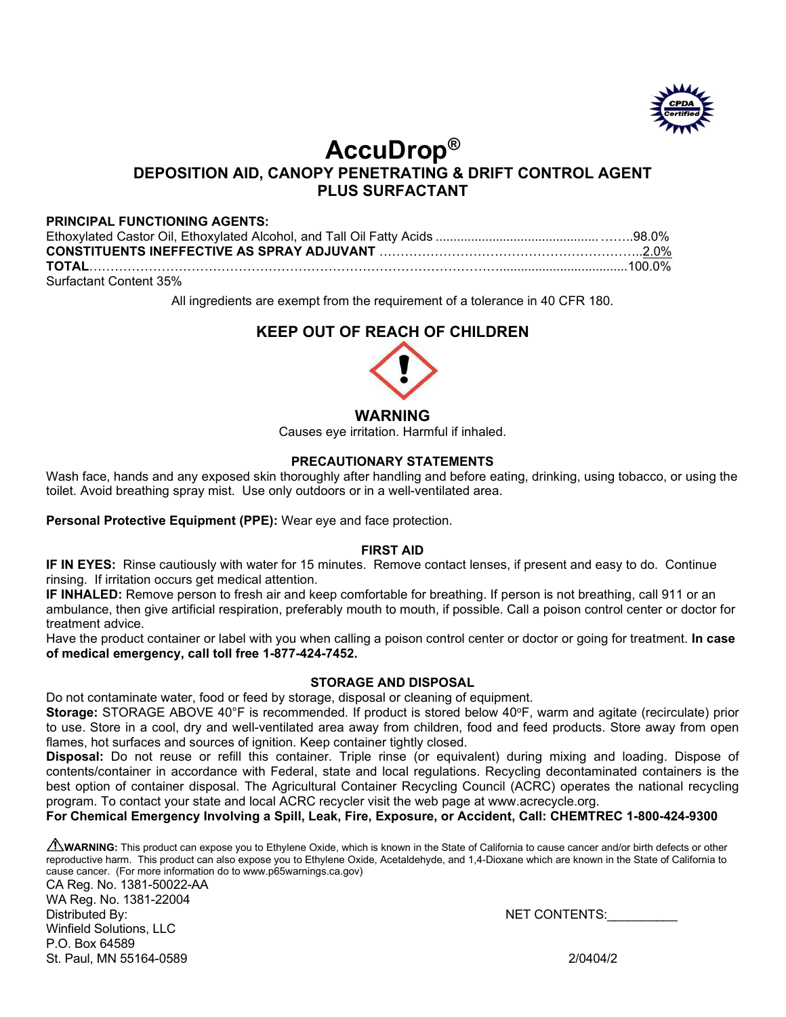

# **AccuDrop®**

# **DEPOSITION AID, CANOPY PENETRATING & DRIFT CONTROL AGENT PLUS SURFACTANT**

## **PRINCIPAL FUNCTIONING AGENTS:**

| Surfactant Content 35% |  |
|------------------------|--|

All ingredients are exempt from the requirement of a tolerance in 40 CFR 180.

# **KEEP OUT OF REACH OF CHILDREN**



#### **WARNING**

Causes eye irritation. Harmful if inhaled.

#### **PRECAUTIONARY STATEMENTS**

Wash face, hands and any exposed skin thoroughly after handling and before eating, drinking, using tobacco, or using the toilet. Avoid breathing spray mist. Use only outdoors or in a well-ventilated area.

**Personal Protective Equipment (PPE):** Wear eye and face protection.

#### **FIRST AID**

**IF IN EYES:** Rinse cautiously with water for 15 minutes. Remove contact lenses, if present and easy to do. Continue rinsing. If irritation occurs get medical attention.

**IF INHALED:** Remove person to fresh air and keep comfortable for breathing. If person is not breathing, call 911 or an ambulance, then give artificial respiration, preferably mouth to mouth, if possible. Call a poison control center or doctor for treatment advice.

Have the product container or label with you when calling a poison control center or doctor or going for treatment. **In case of medical emergency, call toll free 1-877-424-7452.**

## **STORAGE AND DISPOSAL**

Do not contaminate water, food or feed by storage, disposal or cleaning of equipment.

Storage: STORAGE ABOVE 40°F is recommended. If product is stored below 40°F, warm and agitate (recirculate) prior to use. Store in a cool, dry and well-ventilated area away from children, food and feed products. Store away from open flames, hot surfaces and sources of ignition. Keep container tightly closed.

**Disposal:** Do not reuse or refill this container. Triple rinse (or equivalent) during mixing and loading. Dispose of contents/container in accordance with Federal, state and local regulations. Recycling decontaminated containers is the best option of container disposal. The Agricultural Container Recycling Council (ACRC) operates the national recycling program. To contact your state and local ACRC recycler visit the web page at www.acrecycle.org.

#### **For Chemical Emergency Involving a Spill, Leak, Fire, Exposure, or Accident, Call: CHEMTREC 1-800-424-9300**

**ANIMARNING:** This product can expose you to Ethylene Oxide, which is known in the State of California to cause cancer and/or birth defects or other reproductive harm. This product can also expose you to Ethylene Oxide, Acetaldehyde, and 1,4-Dioxane which are known in the State of California to cause cancer. (For more information do to www.p65warnings.ca.gov)

CA Reg. No. 1381-50022-AA WA Reg. No. 1381-22004 Distributed By: NET CONTENTS:\_\_\_\_\_\_\_\_\_\_ Winfield Solutions, LLC P.O. Box 64589 St. Paul, MN 55164-0589 2/0404/2